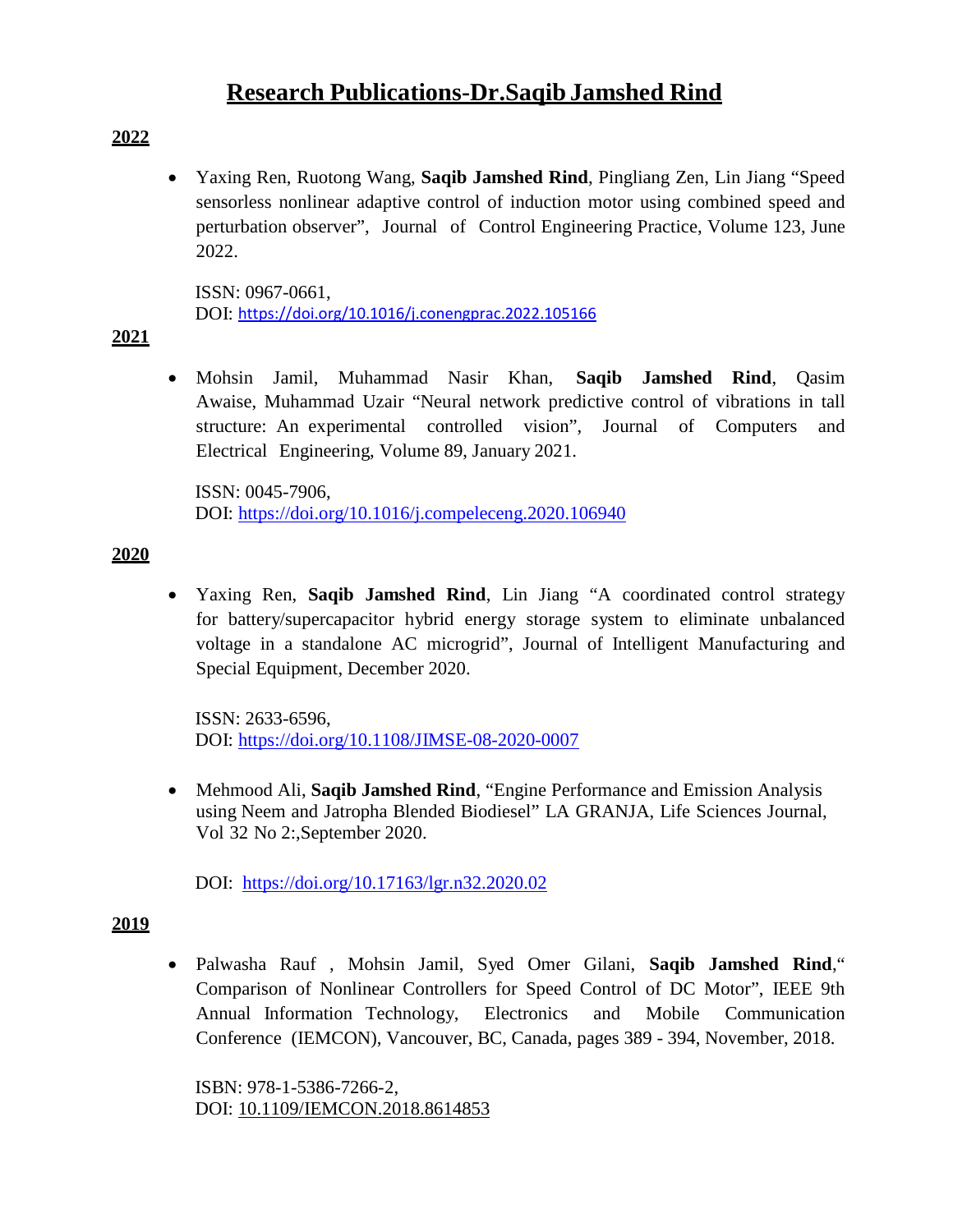# **Research Publications-Dr.Saqib Jamshed Rind**

## **2022**

• Yaxing Ren, Ruotong Wang, **Saqib Jamshed Rind**, Pingliang Zen, Lin Jiang "Speed sensorless nonlinear adaptive control of induction motor using combined speed and perturbation observer", Journal of Control Engineering Practice, Volume 123, June 2022.

ISSN: 0967-0661, DOI: <https://doi.org/10.1016/j.conengprac.2022.105166>

#### **2021**

• Mohsin Jamil, Muhammad Nasir Khan, **Saqib Jamshed Rind**, Qasim Awaise, Muhammad Uzair "Neural network predictive control of vibrations in tall structure: An experimental controlled vision", Journal of Computers and Electrical Engineering, Volume 89, January 2021.

ISSN: 0045-7906, DOI:<https://doi.org/10.1016/j.compeleceng.2020.106940>

#### **2020**

• Yaxing Ren, **Saqib Jamshed Rind**, Lin Jiang "A coordinated control strategy for battery/supercapacitor hybrid energy storage system to eliminate unbalanced voltage in a standalone AC microgrid", Journal of Intelligent Manufacturing and Special Equipment, December 2020.

ISSN: 2633-6596, DOI:<https://doi.org/10.1108/JIMSE-08-2020-0007>

• Mehmood Ali, **Saqib Jamshed Rind**, "Engine Performance and Emission Analysis using Neem and Jatropha Blended Biodiesel" LA GRANJA, Life Sciences Journal, Vol 32 No 2:,September 2020.

DOI: <https://doi.org/10.17163/lgr.n32.2020.02>

## **2019**

• Palwasha Rauf , Mohsin Jamil, Syed Omer Gilani, **Saqib Jamshed Rind**," Comparison of Nonlinear Controllers for Speed Control of DC Motor", IEEE 9th Annual Information Technology, Electronics and Mobile Communication Conference (IEMCON), Vancouver, BC, Canada, pages 389 - 394, November, 2018.

ISBN: 978-1-5386-7266-2, DOI: 10.1109/IEMCON.2018.8614853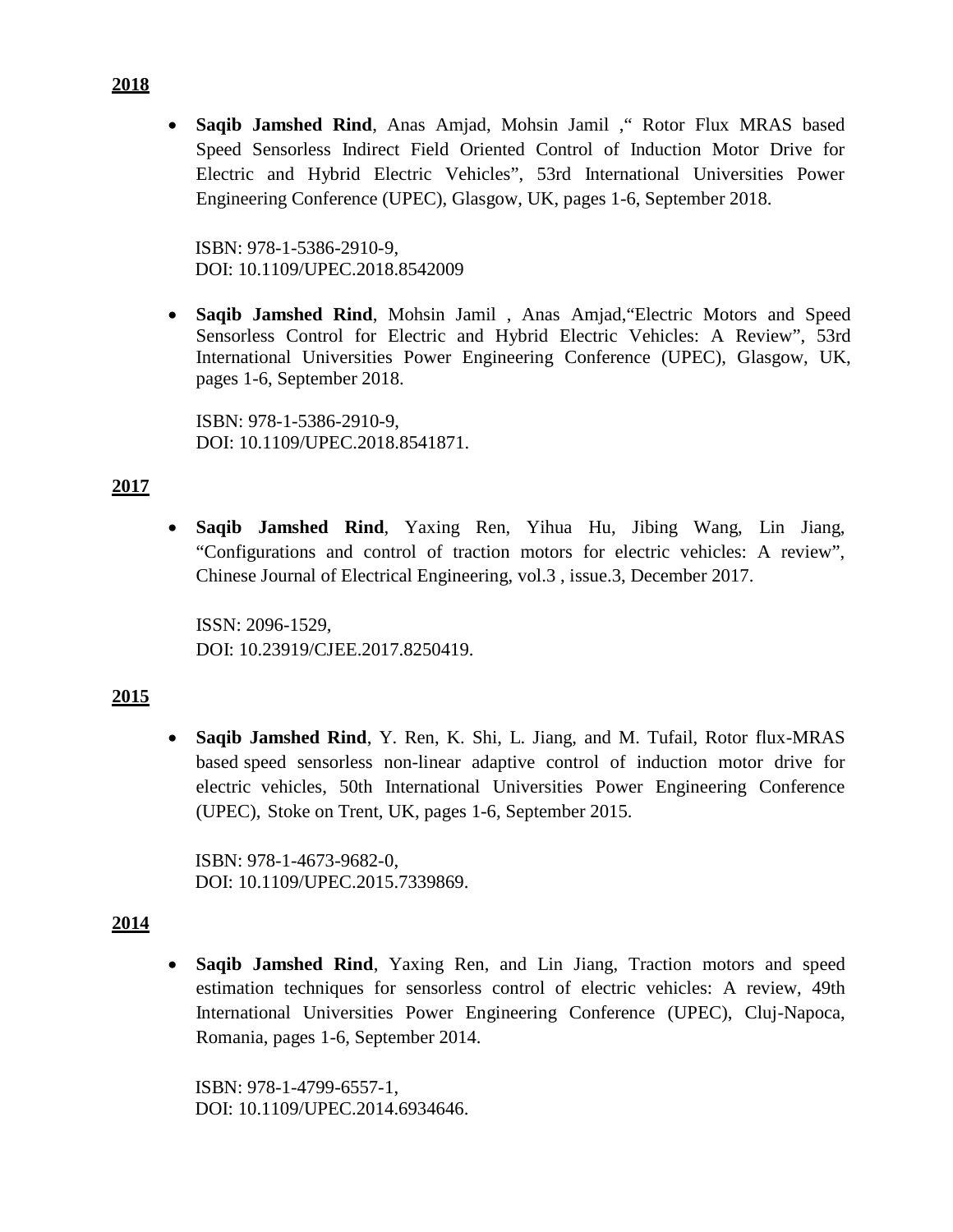• **Saqib Jamshed Rind**, Anas Amjad, Mohsin Jamil ," Rotor Flux MRAS based Speed Sensorless Indirect Field Oriented Control of Induction Motor Drive for Electric and Hybrid Electric Vehicles", 53rd International Universities Power Engineering Conference (UPEC), Glasgow, UK, pages 1-6, September 2018.

ISBN: 978-1-5386-2910-9, DOI: 10.1109/UPEC.2018.8542009

• **Saqib Jamshed Rind**, Mohsin Jamil , Anas Amjad,"Electric Motors and Speed Sensorless Control for Electric and Hybrid Electric Vehicles: A Review", 53rd International Universities Power Engineering Conference (UPEC), Glasgow, UK, pages 1-6, September 2018.

ISBN: 978-1-5386-2910-9, DOI: 10.1109/UPEC.2018.8541871.

## **2017**

• **Saqib Jamshed Rind**, Yaxing Ren, Yihua Hu, Jibing Wang, Lin Jiang, "Configurations and control of traction motors for electric vehicles: A review", Chinese Journal of Electrical Engineering, vol.3 , issue.3, December 2017.

ISSN: 2096-1529, DOI: 10.23919/CJEE.2017.8250419.

## **2015**

• **Saqib Jamshed Rind**, Y. Ren, K. Shi, L. Jiang, and M. Tufail, Rotor flux-MRAS based speed sensorless non-linear adaptive control of induction motor drive for electric vehicles, 50th International Universities Power Engineering Conference (UPEC), Stoke on Trent, UK, pages 1-6, September 2015.

ISBN: 978-1-4673-9682-0, DOI: 10.1109/UPEC.2015.7339869.

## **2014**

• **Saqib Jamshed Rind**, Yaxing Ren, and Lin Jiang, Traction motors and speed estimation techniques for sensorless control of electric vehicles: A review, 49th International Universities Power Engineering Conference (UPEC), Cluj-Napoca, Romania, pages 1-6, September 2014.

ISBN: 978-1-4799-6557-1, DOI: 10.1109/UPEC.2014.6934646.

#### **2018**